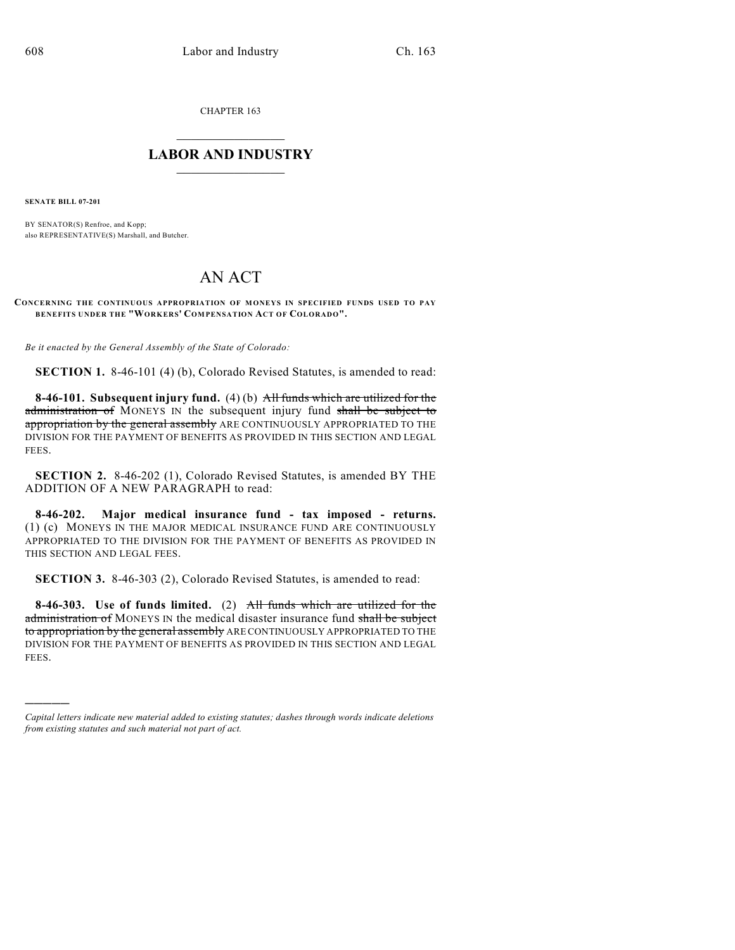CHAPTER 163

## $\mathcal{L}_\text{max}$  . The set of the set of the set of the set of the set of the set of the set of the set of the set of the set of the set of the set of the set of the set of the set of the set of the set of the set of the set **LABOR AND INDUSTRY**  $\frac{1}{\sqrt{2}}$  ,  $\frac{1}{\sqrt{2}}$  ,  $\frac{1}{\sqrt{2}}$  ,  $\frac{1}{\sqrt{2}}$  ,  $\frac{1}{\sqrt{2}}$  ,  $\frac{1}{\sqrt{2}}$

**SENATE BILL 07-201**

)))))

BY SENATOR(S) Renfroe, and Kopp; also REPRESENTATIVE(S) Marshall, and Butcher.

## AN ACT

**CONCERNING THE CONTINUOUS APPROPRIATION OF MONEYS IN SPECIFIED FUNDS USED TO PAY BENEFITS UNDER THE "WORKERS' COM PENSATION ACT OF COLORADO".**

*Be it enacted by the General Assembly of the State of Colorado:*

**SECTION 1.** 8-46-101 (4) (b), Colorado Revised Statutes, is amended to read:

**8-46-101. Subsequent injury fund.** (4) (b) All funds which are utilized for the administration of MONEYS IN the subsequent injury fund shall be subject to appropriation by the general assembly ARE CONTINUOUSLY APPROPRIATED TO THE DIVISION FOR THE PAYMENT OF BENEFITS AS PROVIDED IN THIS SECTION AND LEGAL FEES.

**SECTION 2.** 8-46-202 (1), Colorado Revised Statutes, is amended BY THE ADDITION OF A NEW PARAGRAPH to read:

**8-46-202. Major medical insurance fund - tax imposed - returns.** (1) (c) MONEYS IN THE MAJOR MEDICAL INSURANCE FUND ARE CONTINUOUSLY APPROPRIATED TO THE DIVISION FOR THE PAYMENT OF BENEFITS AS PROVIDED IN THIS SECTION AND LEGAL FEES.

**SECTION 3.** 8-46-303 (2), Colorado Revised Statutes, is amended to read:

**8-46-303. Use of funds limited.** (2) All funds which are utilized for the administration of MONEYS IN the medical disaster insurance fund shall be subject to appropriation by the general assembly ARE CONTINUOUSLY APPROPRIATED TO THE DIVISION FOR THE PAYMENT OF BENEFITS AS PROVIDED IN THIS SECTION AND LEGAL FEES.

*Capital letters indicate new material added to existing statutes; dashes through words indicate deletions from existing statutes and such material not part of act.*